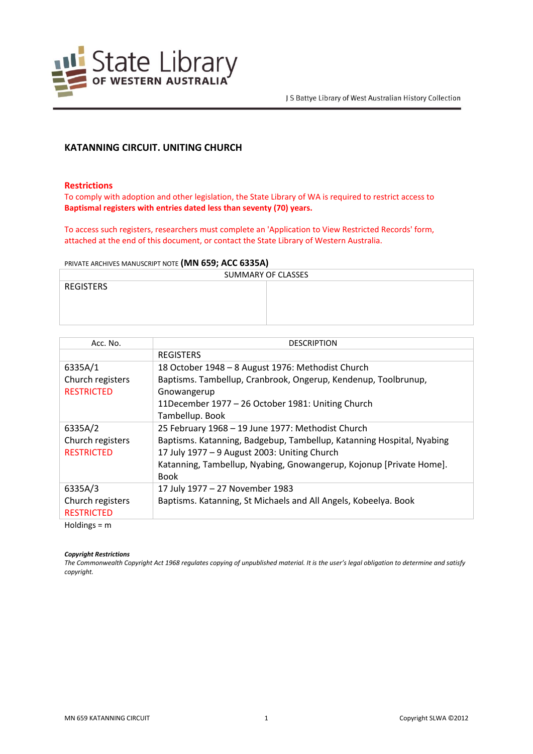

# **KATANNING CIRCUIT. UNITING CHURCH**

#### **Restrictions**

To comply with adoption and other legislation, the State Library of WA is required to restrict access to **Baptismal registers with entries dated less than seventy (70) years.**

To access such registers, researchers must complete an 'Application to View Restricted Records' form, attached at the end of this document, or contact the State Library of Western Australia.

#### PRIVATE ARCHIVES MANUSCRIPT NOTE **(MN 659; ACC 6335A)**

| SUMMARY OF CLASSES |  |  |
|--------------------|--|--|
| <b>REGISTERS</b>   |  |  |
|                    |  |  |
|                    |  |  |
|                    |  |  |

| Acc. No.          | <b>DESCRIPTION</b>                                                    |
|-------------------|-----------------------------------------------------------------------|
|                   | <b>REGISTERS</b>                                                      |
| 6335A/1           | 18 October 1948 - 8 August 1976: Methodist Church                     |
| Church registers  | Baptisms. Tambellup, Cranbrook, Ongerup, Kendenup, Toolbrunup,        |
| <b>RESTRICTED</b> | Gnowangerup                                                           |
|                   | 11December 1977 - 26 October 1981: Uniting Church                     |
|                   | Tambellup. Book                                                       |
| 6335A/2           | 25 February 1968 - 19 June 1977: Methodist Church                     |
| Church registers  | Baptisms. Katanning, Badgebup, Tambellup, Katanning Hospital, Nyabing |
| <b>RESTRICTED</b> | 17 July 1977 - 9 August 2003: Uniting Church                          |
|                   | Katanning, Tambellup, Nyabing, Gnowangerup, Kojonup [Private Home].   |
|                   | <b>Book</b>                                                           |
| 6335A/3           | 17 July 1977 - 27 November 1983                                       |
| Church registers  | Baptisms. Katanning, St Michaels and All Angels, Kobeelya. Book       |
| <b>RESTRICTED</b> |                                                                       |
|                   |                                                                       |

Holdings = m

#### *Copyright Restrictions*

The Commonwealth Copyright Act 1968 regulates copying of unpublished material. It is the user's legal obligation to determine and satisfy *copyright.*